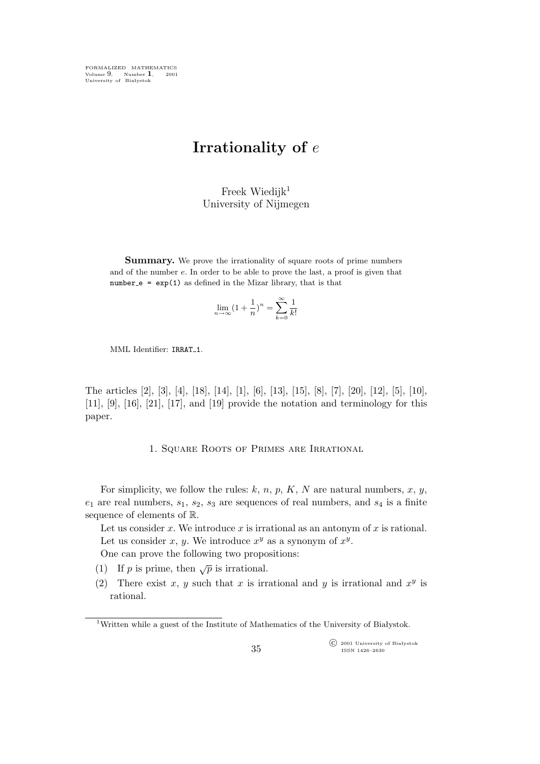FORMALIZED MATHEMATICS Volume 9, Number **1**, 2001 University of Białystok

## **Irrationality of** e

Freek Wiedijk $1$ University of Nijmegen

**Summary.** We prove the irrationality of square roots of prime numbers and of the number e. In order to be able to prove the last, a proof is given that  $number_e = exp(1)$  as defined in the Mizar library, that is that

$$
\lim_{n \to \infty} (1 + \frac{1}{n})^n = \sum_{k=0}^{\infty} \frac{1}{k!}
$$

MML Identifier: IRRAT<sub>-1</sub>.

The articles [2], [3], [4], [18], [14], [1], [6], [13], [15], [8], [7], [20], [12], [5], [10],  $[11]$ ,  $[9]$ ,  $[16]$ ,  $[21]$ ,  $[17]$ , and  $[19]$  provide the notation and terminology for this paper.

1. Square Roots of Primes are Irrational

For simplicity, we follow the rules:  $k, n, p, K, N$  are natural numbers,  $x, y$ ,  $e_1$  are real numbers,  $s_1$ ,  $s_2$ ,  $s_3$  are sequences of real numbers, and  $s_4$  is a finite sequence of elements of R.

Let us consider x. We introduce x is irrational as an antonym of x is rational. Let us consider x, y. We introduce  $x^y$  as a synonym of  $x^y$ .

One can prove the following two propositions:

- (1) If *p* is prime, then  $\sqrt{p}$  is irrational.
- (2) There exist x, y such that x is irrational and y is irrational and  $x<sup>y</sup>$  is rational.

°c 2001 University of Białystok ISSN 1426–2630

<sup>1</sup>Written while a guest of the Institute of Mathematics of the University of Białystok.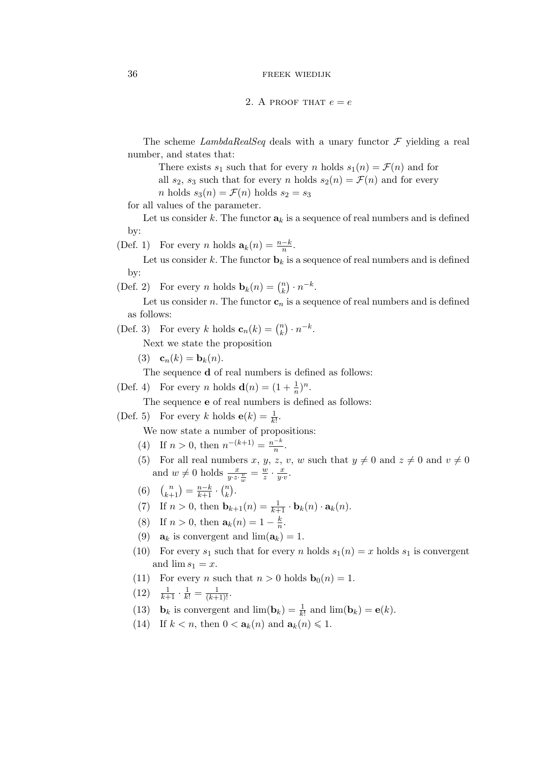2. A PROOF THAT  $e = e$ 

The scheme *LambdaRealSeq* deals with a unary functor *F* yielding a real number, and states that:

There exists  $s_1$  such that for every *n* holds  $s_1(n) = \mathcal{F}(n)$  and for all  $s_2$ ,  $s_3$  such that for every n holds  $s_2(n) = \mathcal{F}(n)$  and for every *n* holds  $s_3(n) = \mathcal{F}(n)$  holds  $s_2 = s_3$ 

for all values of the parameter.

Let us consider k. The functor  $a_k$  is a sequence of real numbers and is defined by:

(Def. 1) For every *n* holds  $\mathbf{a}_k(n) = \frac{n-k}{n}$ .

Let us consider k. The functor  $\mathbf{b}_k$  is a sequence of real numbers and is defined by:

(Def. 2) For every *n* holds  $\mathbf{b}_k(n) = \binom{n}{k}$  $\binom{n}{k}\cdot n^{-k}.$ 

Let us consider n. The functor  $\mathbf{c}_n$  is a sequence of real numbers and is defined as follows:

(Def. 3) For every k holds  $\mathbf{c}_n(k) = \binom{n}{k}$  $\binom{n}{k}\cdot n^{-k}.$ 

Next we state the proposition

(3)  ${\bf c}_n(k) = {\bf b}_k(n).$ 

The sequence **d** of real numbers is defined as follows:

(Def. 4) For every *n* holds  $\mathbf{d}(n) = (1 + \frac{1}{n})^n$ .

The sequence **e** of real numbers is defined as follows:

(Def. 5) For every k holds  $\mathbf{e}(k) = \frac{1}{k!}$ .

We now state a number of propositions:

- (4) If  $n > 0$ , then  $n^{-(k+1)} = \frac{n^{-k}}{n}$  $\frac{-n}{n}$ .
- (5) For all real numbers x, y, z, v, w such that  $y \neq 0$  and  $z \neq 0$  and  $v \neq 0$ and  $w \neq 0$  holds  $\frac{x}{y \cdot z \cdot \frac{v}{w}} = \frac{w}{z}$  $\frac{w}{z} \cdot \frac{x}{y \cdot v}$ .
- (6)  $\binom{n}{k+1} = \frac{n-k}{k+1} \cdot \binom{n}{k}$  $\binom{n}{k}$ .
- (7) If  $n > 0$ , then  $\mathbf{b}_{k+1}(n) = \frac{1}{k+1} \cdot \mathbf{b}_k(n) \cdot \mathbf{a}_k(n)$ .
- (8) If  $n > 0$ , then  $a_k(n) = 1 \frac{k}{n}$  $\frac{k}{n}$ .
- (9)  $\mathbf{a}_k$  is convergent and  $\lim(\mathbf{a}_k) = 1$ .
- (10) For every  $s_1$  such that for every n holds  $s_1(n) = x$  holds  $s_1$  is convergent and  $\lim s_1 = x$ .
- (11) For every *n* such that  $n > 0$  holds  $\mathbf{b}_0(n) = 1$ .
- $(12)$   $\frac{1}{k+1} \cdot \frac{1}{k!} = \frac{1}{(k+1)!}$ .
- (13) **b**<sub>k</sub> is convergent and  $\lim_{k \to \infty} (\mathbf{b}_k) = \frac{1}{k!}$  and  $\lim_{k \to \infty} (\mathbf{b}_k) = \mathbf{e}(k)$ .
- (14) If  $k < n$ , then  $0 < a_k(n)$  and  $a_k(n) \leq 1$ .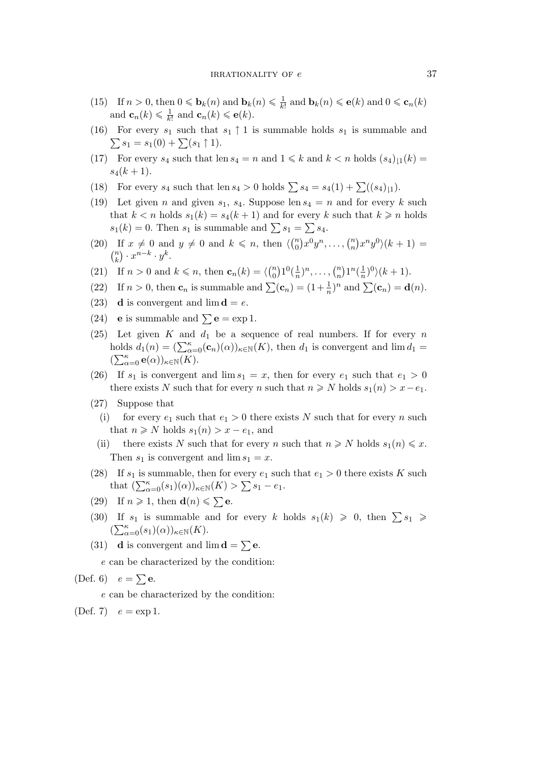- (15) If  $n > 0$ , then  $0 \le \mathbf{b}_k(n)$  and  $\mathbf{b}_k(n) \le \frac{1}{k!}$  and  $\mathbf{b}_k(n) \le \mathbf{e}(k)$  and  $0 \le \mathbf{c}_n(k)$ and  $\mathbf{c}_n(k) \leq \frac{1}{k!}$  and  $\mathbf{c}_n(k) \leq \mathbf{e}(k)$ .
- (16) For every  $s_1$  such that  $s_1 \uparrow 1$  is summable holds  $s_1$  is summable and  $\sum s_1 = s_1(0) + \sum (s_1 \uparrow 1).$
- (17) For every  $s_4$  such that len  $s_4 = n$  and  $1 \leq k$  and  $k < n$  holds  $(s_4)_{11}(k) =$  $s_4(k+1)$ .
- (18) For every  $s_4$  such that len  $s_4 > 0$  holds  $\sum s_4 = s_4(1) + \sum ((s_4)_{11})$ .
- (19) Let given n and given  $s_1$ ,  $s_4$ . Suppose len  $s_4 = n$  and for every k such that  $k < n$  holds  $s_1(k) = s_4(k+1)$  and for every k such that  $k \geq n$  holds  $s_1(k) = 0$ . Then  $s_1$  is summable and  $\sum s_1 = \sum s_4$ .
- (20) If  $x \neq 0$  and  $y \neq 0$  and  $k \leq n$ , then  $\langle \begin{pmatrix} n \\ 0 \end{pmatrix} \rangle$  ${n \choose 0} x^0 y^n, \ldots, {n \choose n}$  $\binom{n}{n} x^n y^0 (k+1) =$  $\binom{n}{k}$  $\binom{n}{k} \cdot x^{n-k} \cdot y^k.$
- (21) If  $n > 0$  and  $k \le n$ , then  $\mathbf{c}_n(k) = \langle \begin{pmatrix} n \\ 0 \end{pmatrix} \rangle$  ${n \choose 0} 1^0(\frac{1}{n})^n, \ldots, {n \choose n}$  $\binom{n}{n} 1^n \left(\frac{1}{n}\right)^0 \left(k+1\right).$
- (22) If  $n > 0$ , then  $\mathbf{c}_n$  is summable and  $\sum(\mathbf{c}_n) = (1 + \frac{1}{n})^n$  and  $\sum(\mathbf{c}_n) = \mathbf{d}(n)$ .
- (23) **d** is convergent and  $\lim_{x \to a} d = e$ .
- (24) **e** is summable and  $\sum$ **e** = exp 1.
- (25) Let given K and  $d_1$  be a sequence of real numbers. If for every n holds  $d_1(n) = (\sum_{\alpha=0}^{\kappa} (\mathbf{c}_n)(\alpha))_{\kappa \in \mathbb{N}}(K)$ , then  $d_1$  is convergent and  $\lim_{\alpha \to \infty} d_1 =$  $(\sum_{\alpha=0}^{\kappa} \mathbf{e}(\alpha))_{\kappa \in \mathbb{N}} (\widetilde{K}).$
- (26) If  $s_1$  is convergent and  $\lim s_1 = x$ , then for every  $e_1$  such that  $e_1 > 0$ there exists N such that for every n such that  $n \geq N$  holds  $s_1(n) > x - e_1$ .
- (27) Suppose that
	- (i) for every  $e_1$  such that  $e_1 > 0$  there exists N such that for every n such that  $n \geq N$  holds  $s_1(n) > x - e_1$ , and
	- (ii) there exists N such that for every n such that  $n \geq N$  holds  $s_1(n) \leq x$ . Then  $s_1$  is convergent and  $\lim s_1 = x$ .
- (28) If  $s_1$  is summable, then for every  $e_1$  such that  $e_1 > 0$  there exists K such that  $(\sum_{\alpha=0}^{\kappa} (s_1)(\alpha))_{\kappa \in \mathbb{N}}(K) > \sum s_1 - e_1.$
- (29) If  $n \ge 1$ , then **d** $(n) \le \sum \mathbf{e}$ .
- (30) If  $s_1$  is summable and for every k holds  $s_1(k) \geq 0$ , then  $\sum s_1 \geq 0$  $(\sum_{\alpha=0}^{\kappa} (s_1)(\alpha))_{\kappa \in \mathbb{N}}(K).$
- (31) **d** is convergent and  $\lim_{n \to \infty} \mathbf{d} = \sum_{n=1}^{\infty} \mathbf{e}.$

*e* can be characterized by the condition:

(Def. 6)  $e = \sum \mathbf{e}$ .

*e* can be characterized by the condition:

(Def. 7)  $e = \exp 1$ .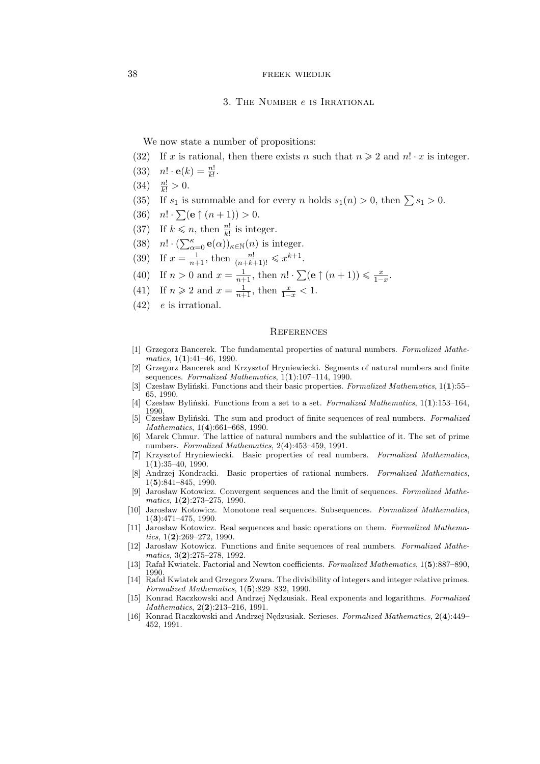## 38 FREEK WIEDIJK

## 3. The Number e is Irrational

We now state a number of propositions:

- (32) If x is rational, then there exists n such that  $n \geq 2$  and  $n! \cdot x$  is integer.
- (33)  $n! \cdot e(k) = \frac{n!}{k!}$ .
- (34)  $\frac{n!}{k!} > 0.$
- (35) If  $s_1$  is summable and for every n holds  $s_1(n) > 0$ , then  $\sum s_1 > 0$ .
- (36)  $n! \cdot \sum_{n=0}^{\infty} (e \uparrow (n+1)) > 0.$
- (37) If  $k \leq n$ , then  $\frac{n!}{k!}$  is integer.
- (38)  $n! \cdot (\sum_{\alpha=0}^{\kappa} \mathbf{e}(\alpha))_{\kappa \in \mathbb{N}}(n)$  is integer.
- (39) If  $x = \frac{1}{n+1}$ , then  $\frac{n!}{(n+k+1)!} \leq x^{k+1}$ .
- (40) If  $n > 0$  and  $x = \frac{1}{n+1}$ , then  $n! \cdot \sum_{n=0}^{\infty} (e \uparrow (n+1)) \leq \frac{x}{1-x}$ .
- (41) If  $n \ge 2$  and  $x = \frac{1}{n+1}$ , then  $\frac{x}{1-x} < 1$ .
- (42) *e* is irrational.

## **REFERENCES**

- [1] Grzegorz Bancerek. The fundamental properties of natural numbers. *Formalized Mathematics*, 1(**1**):41–46, 1990.
- [2] Grzegorz Bancerek and Krzysztof Hryniewiecki. Segments of natural numbers and finite sequences. *Formalized Mathematics*, 1(**1**):107–114, 1990.
- [3] Czesław Byliński. Functions and their basic properties. *Formalized Mathematics*, 1(**1**):55– 65, 1990.
- [4] Czesław Byliński. Functions from a set to a set. *Formalized Mathematics*, 1(**1**):153–164, 1990.
- [5] Czesław Byliński. The sum and product of finite sequences of real numbers. *Formalized Mathematics*, 1(**4**):661–668, 1990.
- [6] Marek Chmur. The lattice of natural numbers and the sublattice of it. The set of prime numbers. *Formalized Mathematics*, 2(**4**):453–459, 1991.
- [7] Krzysztof Hryniewiecki. Basic properties of real numbers. *Formalized Mathematics*, 1(**1**):35–40, 1990.
- [8] Andrzej Kondracki. Basic properties of rational numbers. *Formalized Mathematics*, 1(**5**):841–845, 1990.
- [9] Jarosław Kotowicz. Convergent sequences and the limit of sequences. *Formalized Mathematics*, 1(**2**):273–275, 1990.
- [10] Jarosław Kotowicz. Monotone real sequences. Subsequences. *Formalized Mathematics*, 1(**3**):471–475, 1990.
- [11] Jarosław Kotowicz. Real sequences and basic operations on them. *Formalized Mathematics*, 1(**2**):269–272, 1990.
- [12] Jarosław Kotowicz. Functions and finite sequences of real numbers. *Formalized Mathematics*, 3(**2**):275–278, 1992.
- [13] Rafał Kwiatek. Factorial and Newton coefficients. *Formalized Mathematics*, 1(**5**):887–890, 1990.
- [14] Rafał Kwiatek and Grzegorz Zwara. The divisibility of integers and integer relative primes. *Formalized Mathematics*, 1(**5**):829–832, 1990.
- [15] Konrad Raczkowski and Andrzej Nędzusiak. Real exponents and logarithms. *Formalized Mathematics*, 2(**2**):213–216, 1991.
- [16] Konrad Raczkowski and Andrzej Nędzusiak. Serieses. *Formalized Mathematics*, 2(**4**):449– 452, 1991.